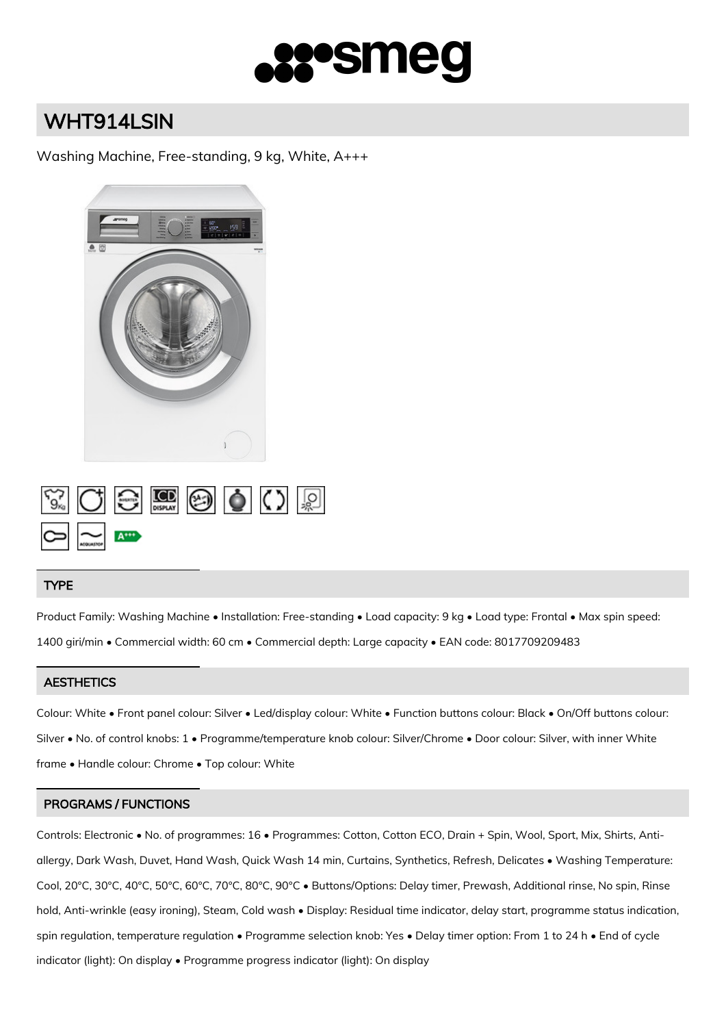

# WHT914LSIN

Washing Machine, Free-standing, 9 kg, White, A+++



|                                                              |  | $\begin{picture}(150,10) \put(0,0){\line(1,0){10}} \put(15,0){\line(1,0){10}} \put(15,0){\line(1,0){10}} \put(15,0){\line(1,0){10}} \put(15,0){\line(1,0){10}} \put(15,0){\line(1,0){10}} \put(15,0){\line(1,0){10}} \put(15,0){\line(1,0){10}} \put(15,0){\line(1,0){10}} \put(15,0){\line(1,0){10}} \put(15,0){\line(1,0){10}} \put(15,0){\line($ |  |  |
|--------------------------------------------------------------|--|-----------------------------------------------------------------------------------------------------------------------------------------------------------------------------------------------------------------------------------------------------------------------------------------------------------------------------------------------------|--|--|
| $\frac{1}{\sqrt{2\pi}}\sum_{n=1}^{\infty}\frac{1}{n^{2n+1}}$ |  |                                                                                                                                                                                                                                                                                                                                                     |  |  |

## TYPE

Product Family: Washing Machine • Installation: Free-standing • Load capacity: 9 kg • Load type: Frontal • Max spin speed: 1400 giri/min • Commercial width: 60 cm • Commercial depth: Large capacity • EAN code: 8017709209483

## **AESTHETICS**

Colour: White • Front panel colour: Silver • Led/display colour: White • Function buttons colour: Black • On/Off buttons colour: Silver • No. of control knobs: 1 • Programme/temperature knob colour: Silver/Chrome • Door colour: Silver, with inner White frame • Handle colour: Chrome • Top colour: White

## PROGRAMS / FUNCTIONS

Controls: Electronic • No. of programmes: 16 • Programmes: Cotton, Cotton ECO, Drain + Spin, Wool, Sport, Mix, Shirts, Antiallergy, Dark Wash, Duvet, Hand Wash, Quick Wash 14 min, Curtains, Synthetics, Refresh, Delicates • Washing Temperature: Cool, 20°C, 30°C, 40°C, 50°C, 60°C, 70°C, 80°C, 90°C • Buttons/Options: Delay timer, Prewash, Additional rinse, No spin, Rinse hold, Anti-wrinkle (easy ironing), Steam, Cold wash • Display: Residual time indicator, delay start, programme status indication, spin regulation, temperature regulation • Programme selection knob: Yes • Delay timer option: From 1 to 24 h • End of cycle indicator (light): On display • Programme progress indicator (light): On display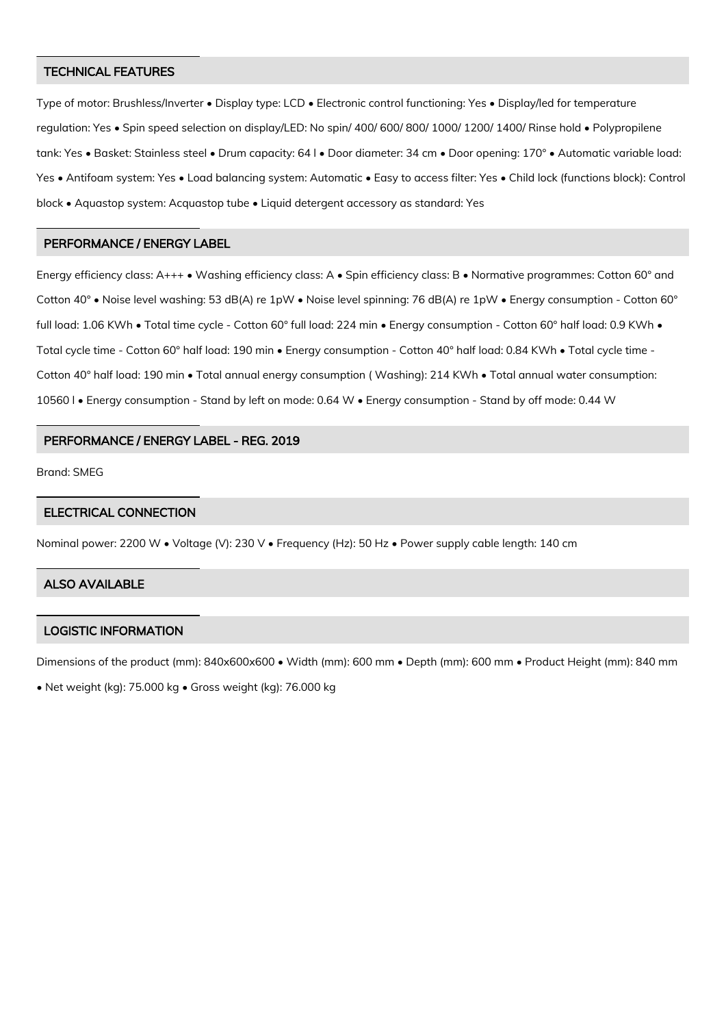### TECHNICAL FEATURES

Type of motor: Brushless/Inverter • Display type: LCD • Electronic control functioning: Yes • Display/led for temperature regulation: Yes • Spin speed selection on display/LED: No spin/ 400/ 600/ 800/ 1000/ 1200/ 1400/ Rinse hold • Polypropilene tank: Yes • Basket: Stainless steel • Drum capacity: 64 l • Door diameter: 34 cm • Door opening: 170° • Automatic variable load: Yes • Antifoam system: Yes • Load balancing system: Automatic • Easy to access filter: Yes • Child lock (functions block): Control block • Aquastop system: Acquastop tube • Liquid detergent accessory as standard: Yes

#### PERFORMANCE / ENERGY LABEL

Energy efficiency class: A+++ • Washing efficiency class: A • Spin efficiency class: B • Normative programmes: Cotton 60° and Cotton 40° • Noise level washing: 53 dB(A) re 1pW • Noise level spinning: 76 dB(A) re 1pW • Energy consumption - Cotton 60° full load: 1.06 KWh • Total time cycle - Cotton 60° full load: 224 min • Energy consumption - Cotton 60° half load: 0.9 KWh • Total cycle time - Cotton 60° half load: 190 min • Energy consumption - Cotton 40° half load: 0.84 KWh • Total cycle time -Cotton 40° half load: 190 min • Total annual energy consumption ( Washing): 214 KWh • Total annual water consumption: 10560 l • Energy consumption - Stand by left on mode: 0.64 W • Energy consumption - Stand by off mode: 0.44 W

## PERFORMANCE / ENERGY LABEL - REG. 2019

Brand: SMEG

## ELECTRICAL CONNECTION

Nominal power: 2200 W • Voltage (V): 230 V • Frequency (Hz): 50 Hz • Power supply cable length: 140 cm

## ALSO AVAILABLE

## LOGISTIC INFORMATION

Dimensions of the product (mm): 840x600x600 • Width (mm): 600 mm • Depth (mm): 600 mm • Product Height (mm): 840 mm

• Net weight (kg): 75.000 kg • Gross weight (kg): 76.000 kg